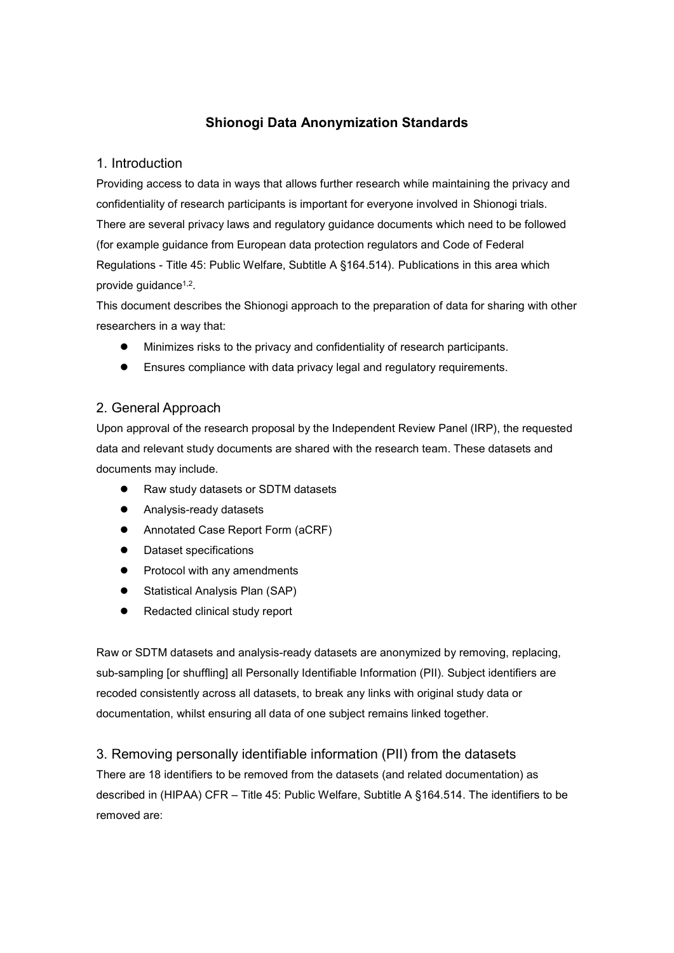# Shionogi Data Anonymization Standards

### 1. Introduction

Providing access to data in ways that allows further research while maintaining the privacy and confidentiality of research participants is important for everyone involved in Shionogi trials. There are several privacy laws and regulatory guidance documents which need to be followed (for example guidance from European data protection regulators and Code of Federal Regulations - Title 45: Public Welfare, Subtitle A §164.514). Publications in this area which provide guidance<sup>1,2</sup>.

This document describes the Shionogi approach to the preparation of data for sharing with other researchers in a way that:

- Minimizes risks to the privacy and confidentiality of research participants.
- Ensures compliance with data privacy legal and regulatory requirements.

## 2. General Approach

Upon approval of the research proposal by the Independent Review Panel (IRP), the requested data and relevant study documents are shared with the research team. These datasets and documents may include.

- Raw study datasets or SDTM datasets
- Analysis-ready datasets
- Annotated Case Report Form (aCRF)
- Dataset specifications
- Protocol with any amendments
- Statistical Analysis Plan (SAP)
- Redacted clinical study report

Raw or SDTM datasets and analysis-ready datasets are anonymized by removing, replacing, sub-sampling [or shuffling] all Personally Identifiable Information (PII). Subject identifiers are recoded consistently across all datasets, to break any links with original study data or documentation, whilst ensuring all data of one subject remains linked together.

#### 3. Removing personally identifiable information (PII) from the datasets

There are 18 identifiers to be removed from the datasets (and related documentation) as described in (HIPAA) CFR – Title 45: Public Welfare, Subtitle A §164.514. The identifiers to be removed are: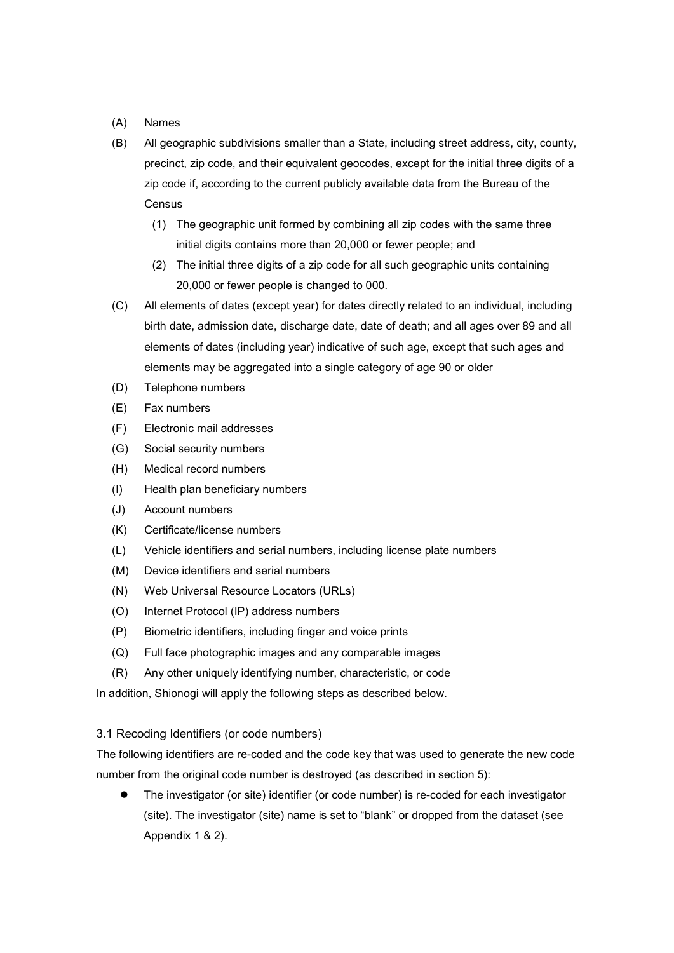- (A) Names
- (B) All geographic subdivisions smaller than a State, including street address, city, county, precinct, zip code, and their equivalent geocodes, except for the initial three digits of a zip code if, according to the current publicly available data from the Bureau of the **Census** 
	- (1) The geographic unit formed by combining all zip codes with the same three initial digits contains more than 20,000 or fewer people; and
	- (2) The initial three digits of a zip code for all such geographic units containing 20,000 or fewer people is changed to 000.
- (C) All elements of dates (except year) for dates directly related to an individual, including birth date, admission date, discharge date, date of death; and all ages over 89 and all elements of dates (including year) indicative of such age, except that such ages and elements may be aggregated into a single category of age 90 or older
- (D) Telephone numbers
- (E) Fax numbers
- (F) Electronic mail addresses
- (G) Social security numbers
- (H) Medical record numbers
- (I) Health plan beneficiary numbers
- (J) Account numbers
- (K) Certificate/license numbers
- (L) Vehicle identifiers and serial numbers, including license plate numbers
- (M) Device identifiers and serial numbers
- (N) Web Universal Resource Locators (URLs)
- (O) Internet Protocol (IP) address numbers
- (P) Biometric identifiers, including finger and voice prints
- (Q) Full face photographic images and any comparable images
- (R) Any other uniquely identifying number, characteristic, or code

In addition, Shionogi will apply the following steps as described below.

#### 3.1 Recoding Identifiers (or code numbers)

The following identifiers are re-coded and the code key that was used to generate the new code number from the original code number is destroyed (as described in section 5):

 The investigator (or site) identifier (or code number) is re-coded for each investigator (site). The investigator (site) name is set to "blank" or dropped from the dataset (see Appendix 1 & 2).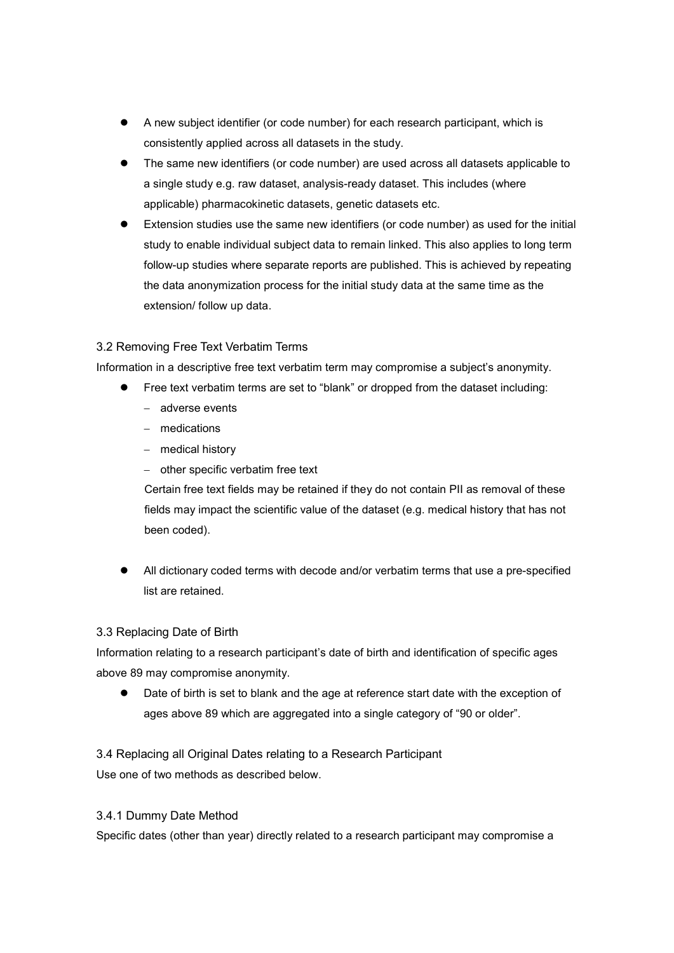- A new subject identifier (or code number) for each research participant, which is consistently applied across all datasets in the study.
- The same new identifiers (or code number) are used across all datasets applicable to a single study e.g. raw dataset, analysis-ready dataset. This includes (where applicable) pharmacokinetic datasets, genetic datasets etc.
- Extension studies use the same new identifiers (or code number) as used for the initial study to enable individual subject data to remain linked. This also applies to long term follow-up studies where separate reports are published. This is achieved by repeating the data anonymization process for the initial study data at the same time as the extension/ follow up data.

## 3.2 Removing Free Text Verbatim Terms

Information in a descriptive free text verbatim term may compromise a subject's anonymity.

- Free text verbatim terms are set to "blank" or dropped from the dataset including:
	- adverse events
	- medications
	- medical history
	- other specific verbatim free text

Certain free text fields may be retained if they do not contain PII as removal of these fields may impact the scientific value of the dataset (e.g. medical history that has not been coded).

 All dictionary coded terms with decode and/or verbatim terms that use a pre-specified list are retained.

#### 3.3 Replacing Date of Birth

Information relating to a research participant's date of birth and identification of specific ages above 89 may compromise anonymity.

 Date of birth is set to blank and the age at reference start date with the exception of ages above 89 which are aggregated into a single category of "90 or older".

3.4 Replacing all Original Dates relating to a Research Participant Use one of two methods as described below.

#### 3.4.1 Dummy Date Method

Specific dates (other than year) directly related to a research participant may compromise a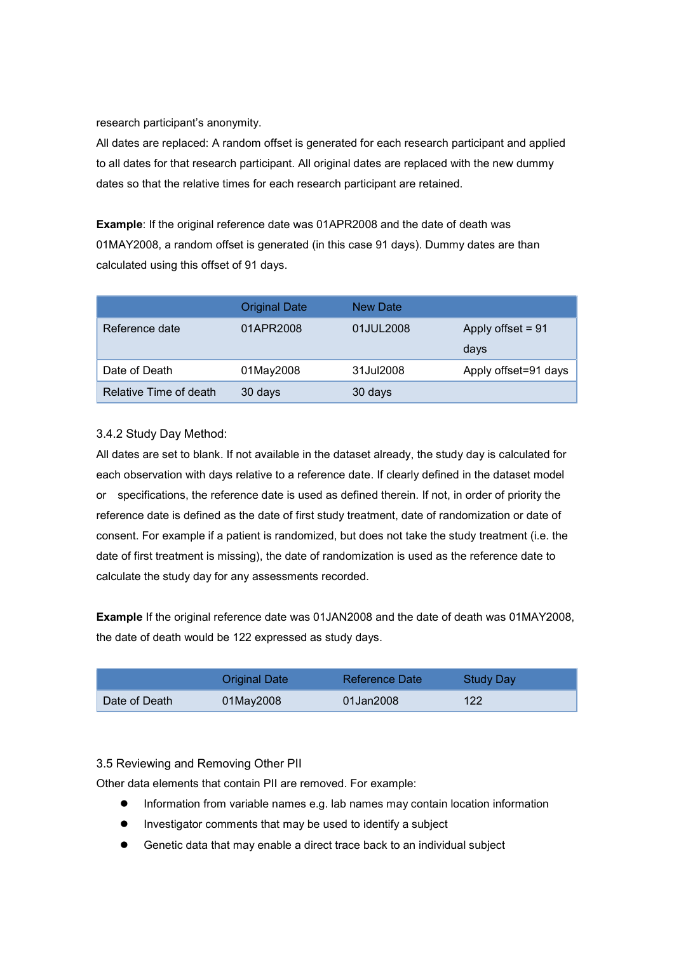research participant's anonymity.

All dates are replaced: A random offset is generated for each research participant and applied to all dates for that research participant. All original dates are replaced with the new dummy dates so that the relative times for each research participant are retained.

Example: If the original reference date was 01APR2008 and the date of death was 01MAY2008, a random offset is generated (in this case 91 days). Dummy dates are than calculated using this offset of 91 days.

|                        | <b>Original Date</b> | New Date  |                      |
|------------------------|----------------------|-----------|----------------------|
| Reference date         | 01APR2008            | 01JUL2008 | Apply offset $= 91$  |
|                        |                      |           | days                 |
| Date of Death          | 01May2008            | 31Jul2008 | Apply offset=91 days |
| Relative Time of death | 30 days              | 30 days   |                      |

## 3.4.2 Study Day Method:

All dates are set to blank. If not available in the dataset already, the study day is calculated for each observation with days relative to a reference date. If clearly defined in the dataset model or specifications, the reference date is used as defined therein. If not, in order of priority the reference date is defined as the date of first study treatment, date of randomization or date of consent. For example if a patient is randomized, but does not take the study treatment (i.e. the date of first treatment is missing), the date of randomization is used as the reference date to calculate the study day for any assessments recorded.

Example If the original reference date was 01JAN2008 and the date of death was 01MAY2008, the date of death would be 122 expressed as study days.

|               | <b>Original Date</b> | Reference Date | Study Day |
|---------------|----------------------|----------------|-----------|
| Date of Death | 01May2008            | 01Jan2008      | 122       |

#### 3.5 Reviewing and Removing Other PII

Other data elements that contain PII are removed. For example:

- Information from variable names e.g. lab names may contain location information
- Investigator comments that may be used to identify a subject
- Genetic data that may enable a direct trace back to an individual subject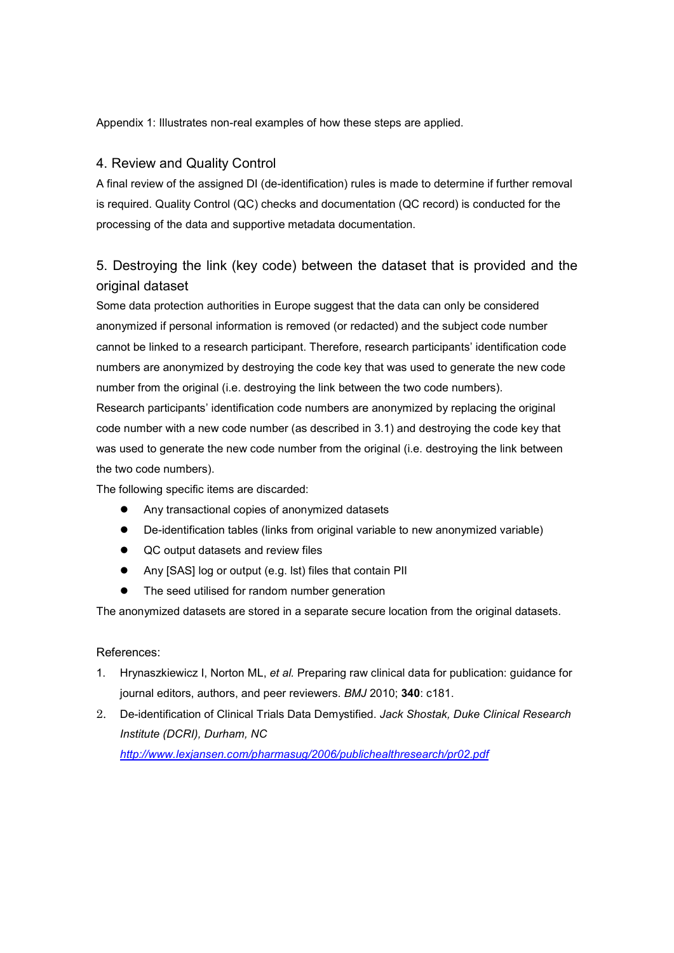Appendix 1: Illustrates non-real examples of how these steps are applied.

## 4. Review and Quality Control

A final review of the assigned DI (de-identification) rules is made to determine if further removal is required. Quality Control (QC) checks and documentation (QC record) is conducted for the processing of the data and supportive metadata documentation.

# 5. Destroying the link (key code) between the dataset that is provided and the original dataset

Some data protection authorities in Europe suggest that the data can only be considered anonymized if personal information is removed (or redacted) and the subject code number cannot be linked to a research participant. Therefore, research participants' identification code numbers are anonymized by destroying the code key that was used to generate the new code number from the original (i.e. destroying the link between the two code numbers).

Research participants' identification code numbers are anonymized by replacing the original code number with a new code number (as described in 3.1) and destroying the code key that was used to generate the new code number from the original (i.e. destroying the link between the two code numbers).

The following specific items are discarded:

- Any transactional copies of anonymized datasets
- De-identification tables (links from original variable to new anonymized variable)
- QC output datasets and review files
- Any [SAS] log or output (e.g. lst) files that contain PII
- The seed utilised for random number generation

The anonymized datasets are stored in a separate secure location from the original datasets.

#### References:

- 1. Hrynaszkiewicz I, Norton ML, et al. Preparing raw clinical data for publication: guidance for journal editors, authors, and peer reviewers. BMJ 2010; 340: c181.
- 2. De-identification of Clinical Trials Data Demystified. Jack Shostak, Duke Clinical Research Institute (DCRI), Durham, NC http://www.lexjansen.com/pharmasug/2006/publichealthresearch/pr02.pdf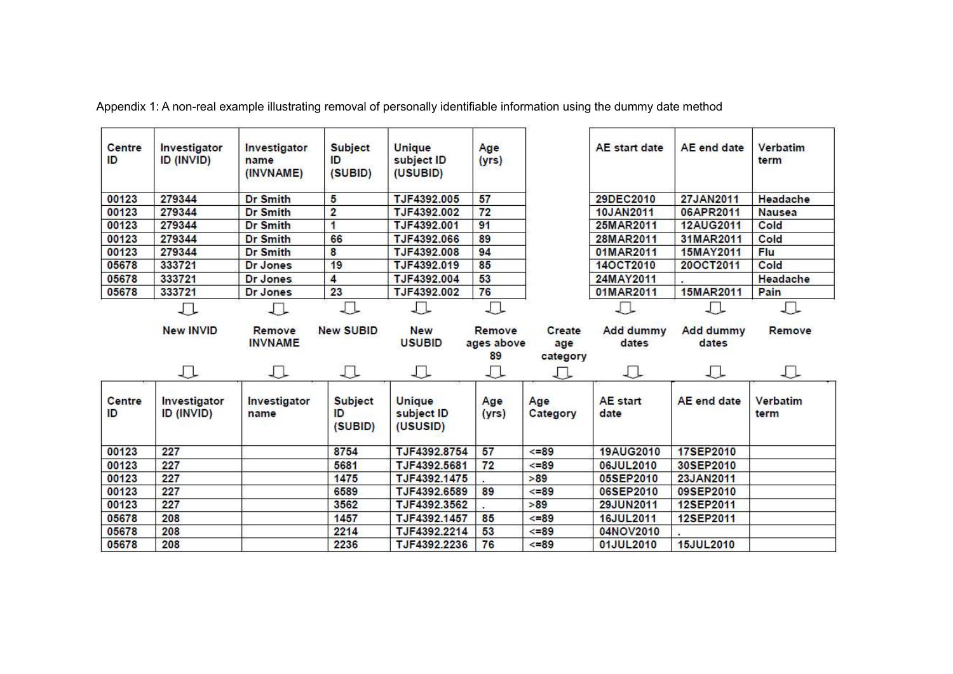| Centre<br>ID | Investigator<br>ID (INVID) | Investigator<br>name<br>(INVNAME) | <b>Subject</b><br>ID<br>(SUBID) | Unique<br>subject ID<br>(USUBID)        | Age<br>(yrs)               |                           | AE start date           | AE end date        | Verbatim<br>term |
|--------------|----------------------------|-----------------------------------|---------------------------------|-----------------------------------------|----------------------------|---------------------------|-------------------------|--------------------|------------------|
| 00123        | 279344                     | <b>Dr Smith</b>                   | 5                               | TJF4392.005                             | 57                         |                           | 29DEC2010               | 27JAN2011          | Headache         |
| 00123        | 279344                     | <b>Dr Smith</b>                   | $\overline{2}$                  | TJF4392.002                             | 72                         |                           | 10JAN2011               | 06APR2011          | <b>Nausea</b>    |
| 00123        | 279344                     | <b>Dr Smith</b>                   | 1                               | TJF4392.001                             | 91                         |                           | 25MAR2011               | 12AUG2011          | Cold             |
| 00123        | 279344                     | <b>Dr Smith</b>                   | 66                              | TJF4392.066                             | 89                         |                           | 28MAR2011               | 31MAR2011          | Cold             |
| 00123        | 279344                     | <b>Dr Smith</b>                   | 8                               | TJF4392.008                             | 94                         |                           | 01MAR2011               | 15MAY2011          | Flu              |
| 05678        | 333721                     | Dr Jones                          | 19                              | TJF4392.019                             | 85                         |                           | 14OCT2010               | 20OCT2011          | Cold             |
| 05678        | 333721                     | Dr Jones                          | $\overline{\mathbf{4}}$         | TJF4392.004                             | 53                         |                           | 24MAY2011               |                    | Headache         |
| 05678        | 333721                     | Dr Jones                          | 23                              | TJF4392.002                             | 76                         |                           | 01MAR2011               | 15MAR2011          | Pain             |
|              | 工                          | ⇩                                 | ₽                               | л                                       | Д                          |                           |                         | 丁                  |                  |
|              | <b>New INVID</b>           | Remove<br><b>INVNAME</b>          | <b>New SUBID</b>                | <b>New</b><br><b>USUBID</b>             | Remove<br>ages above<br>89 | Create<br>age<br>category | Add dummy<br>dates      | Add dummy<br>dates | Remove           |
|              | 工                          | ⇩                                 | ∪                               | ⇩                                       | ⇩                          | ∪                         | ⇩                       | 工                  | ⇩                |
| Centre<br>ID | Investigator<br>ID (INVID) | Investigator<br>name              | <b>Subject</b><br>ID<br>(SUBID) | <b>Unique</b><br>subject ID<br>(USUSID) | Age<br>(yrs)               | Age<br>Category           | <b>AE</b> start<br>date | AE end date        | Verbatim<br>term |
| 00123        | 227                        |                                   | 8754                            | TJF4392.8754                            | 57                         | $<< = 89$                 | 19AUG2010               | 17SEP2010          |                  |
| 00123        | 227                        |                                   | 5681                            | TJF4392.5681                            | 72                         | $<< = 89$                 | 06JUL2010               | 30SEP2010          |                  |
| 00123        | 227                        |                                   | 1475                            | TJF4392.1475                            |                            | >89                       | 05SEP2010               | 23JAN2011          |                  |
| 00123        | 227                        |                                   | 6589                            | TJF4392.6589                            | 89                         | $<< = 89$                 | 06SEP2010               | 09SEP2010          |                  |
| 00123        | 227                        |                                   | 3562                            | TJF4392.3562                            |                            | >89                       | 29JUN2011               | 12SEP2011          |                  |
| 05678        | 208                        |                                   | 1457                            | TJF4392.1457                            | 85                         | $<< = 89$                 | 16JUL2011               | 12SEP2011          |                  |
| 05678        | 208                        |                                   | 2214                            | TJF4392.2214                            | 53                         | $\leq$ =89                | 04NOV2010               |                    |                  |
| 05678        | 208                        |                                   | 2236                            | TJF4392.2236                            | 76                         | $<=89$                    | 01JUL2010               | <b>15JUL2010</b>   |                  |

Appendix 1: A non-real example illustrating removal of personally identifiable information using the dummy date method